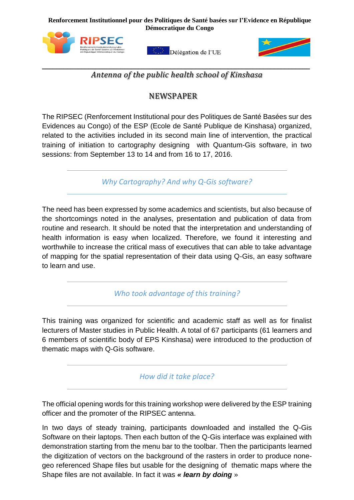**Démocratique du CongoRenforcement Institutionnel pour des Politiques de Santé basées sur l'Evidence en République** 



Délégation de l'UE



 $\_$  , and the contribution of the contribution of the contribution of the contribution of  $\mathcal{L}_\mathbf{u}$ *Antenna of the public health school of Kinshasa*

## NEWSPAPER

The RIPSEC (Renforcement Institutional pour des Politiques de Santé Basées sur des Evidences au Congo) of the ESP (Ecole de Santé Publique de Kinshasa) organized, related to the activities included in its second main line of intervention, the practical training of initiation to cartography designing with Quantum-Gis software, in two sessions: from September 13 to 14 and from 16 to 17, 2016.

*Why Cartography? And why Q-Gis software?*

The need has been expressed by some academics and scientists, but also because of the shortcomings noted in the analyses, presentation and publication of data from routine and research. It should be noted that the interpretation and understanding of health information is easy when localized. Therefore, we found it interesting and worthwhile to increase the critical mass of executives that can able to take advantage of mapping for the spatial representation of their data using Q-Gis, an easy software to learn and use.

*Who took advantage of this training?*

This training was organized for scientific and academic staff as well as for finalist lecturers of Master studies in Public Health. A total of 67 participants (61 learners and 6 members of scientific body of EPS Kinshasa) were introduced to the production of thematic maps with Q-Gis software.

*How did it take place?*

The official opening words for this training workshop were delivered by the ESP training officer and the promoter of the RIPSEC antenna.

In two days of steady training, participants downloaded and installed the Q-Gis Software on their laptops. Then each button of the Q-Gis interface was explained with demonstration starting from the menu bar to the toolbar. Then the participants learned the digitization of vectors on the background of the rasters in order to produce nonegeo referenced Shape files but usable for the designing of thematic maps where the Shape files are not available. In fact it was *« learn by doing* »